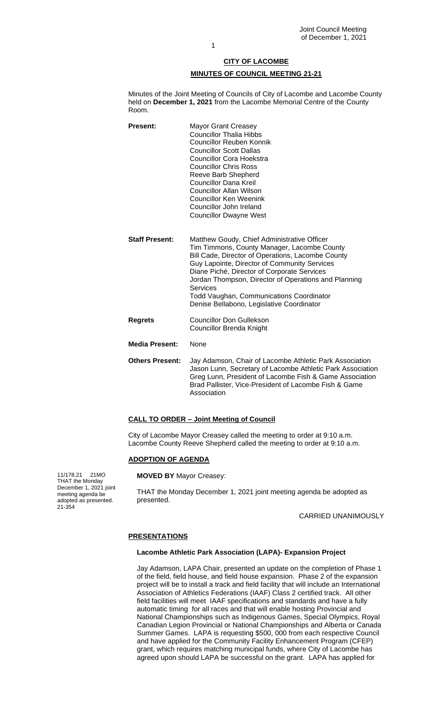# **CITY OF LACOMBE MINUTES OF COUNCIL MEETING 21-21**

Minutes of the Joint Meeting of Councils of City of Lacombe and Lacombe County held on **December 1, 2021** from the Lacombe Memorial Centre of the County Room.

- **Present:** Mayor Grant Creasey Councillor Thalia Hibbs Councillor Reuben Konnik Councillor Scott Dallas Councillor Cora Hoekstra Councillor Chris Ross Reeve Barb Shepherd Councillor Dana Kreil Councillor Allan Wilson Councillor Ken Weenink Councillor John Ireland Councillor Dwayne West
- **Staff Present:** Matthew Goudy, Chief Administrative Officer Tim Timmons, County Manager, Lacombe County Bill Cade, Director of Operations, Lacombe County Guy Lapointe, Director of Community Services Diane Piché, Director of Corporate Services Jordan Thompson, Director of Operations and Planning Services Todd Vaughan, Communications Coordinator Denise Bellabono, Legislative Coordinator
- **Regrets** Councillor Don Gullekson Councillor Brenda Knight
- **Media Present:** None
- **Others Present:**  Jay Adamson, Chair of Lacombe Athletic Park Association Jason Lunn, Secretary of Lacombe Athletic Park Association Greg Lunn, President of Lacombe Fish & Game Association Brad Pallister, Vice-President of Lacombe Fish & Game Association

# **CALL TO ORDER – Joint Meeting of Council**

City of Lacombe Mayor Creasey called the meeting to order at 9:10 a.m. Lacombe County Reeve Shepherd called the meeting to order at 9:10 a.m.

## **ADOPTION OF AGENDA**

**MOVED BY** Mayor Creasey:

THAT the Monday December 1, 2021 joint meeting agenda be adopted as presented.

CARRIED UNANIMOUSLY

# **PRESENTATIONS**

#### **Lacombe Athletic Park Association (LAPA)- Expansion Project**

Jay Adamson, LAPA Chair, presented an update on the completion of Phase 1 of the field, field house, and field house expansion. Phase 2 of the expansion project will be to install a track and field facility that will include an International Association of Athletics Federations (IAAF) Class 2 certified track. All other field facilities will meet IAAF specifications and standards and have a fully automatic timing for all races and that will enable hosting Provincial and National Championships such as Indigenous Games, Special Olympics, Royal Canadian Legion Provincial or National Championships and Alberta or Canada Summer Games. LAPA is requesting \$500, 000 from each respective Council and have applied for the Community Facility Enhancement Program (CFEP) grant, which requires matching municipal funds, where City of Lacombe has agreed upon should LAPA be successful on the grant. LAPA has applied for

11/178.21 21MO THAT the Monday December 1, 2021 joint meeting agenda be adopted as presented. 21-354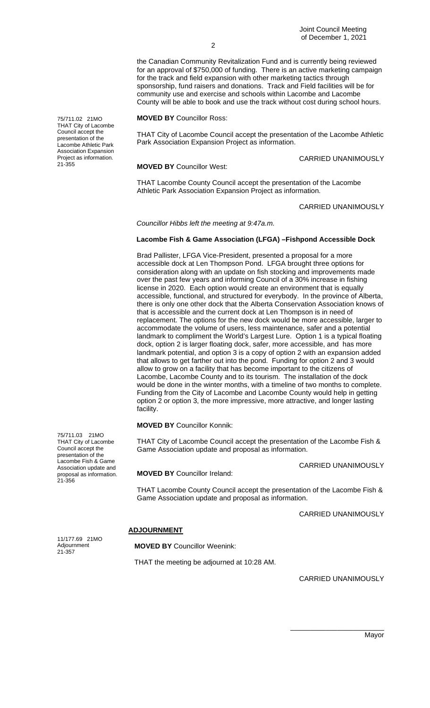the Canadian Community Revitalization Fund and is currently being reviewed for an approval of \$750,000 of funding. There is an active marketing campaign for the track and field expansion with other marketing tactics through sponsorship, fund raisers and donations. Track and Field facilities will be for community use and exercise and schools within Lacombe and Lacombe County will be able to book and use the track without cost during school hours.

**MOVED BY** Councillor Ross:

THAT City of Lacombe Council accept the presentation of the Lacombe Athletic Park Association Expansion Project as information.

**MOVED BY** Councillor West:

CARRIED UNANIMOUSLY

THAT Lacombe County Council accept the presentation of the Lacombe Athletic Park Association Expansion Project as information.

CARRIED UNANIMOUSLY

*Councillor Hibbs left the meeting at 9:47a.m.*

 $\mathfrak{p}$ 

## **Lacombe Fish & Game Association (LFGA) –Fishpond Accessible Dock**

Brad Pallister, LFGA Vice-President, presented a proposal for a more accessible dock at Len Thompson Pond. LFGA brought three options for consideration along with an update on fish stocking and improvements made over the past few years and informing Council of a 30% increase in fishing license in 2020. Each option would create an environment that is equally accessible, functional, and structured for everybody. In the province of Alberta, there is only one other dock that the Alberta Conservation Association knows of that is accessible and the current dock at Len Thompson is in need of replacement. The options for the new dock would be more accessible, larger to accommodate the volume of users, less maintenance, safer and a potential landmark to compliment the World's Largest Lure. Option 1 is a typical floating dock, option 2 is larger floating dock, safer, more accessible, and has more landmark potential, and option 3 is a copy of option 2 with an expansion added that allows to get farther out into the pond. Funding for option 2 and 3 would allow to grow on a facility that has become important to the citizens of Lacombe, Lacombe County and to its tourism. The installation of the dock would be done in the winter months, with a timeline of two months to complete. Funding from the City of Lacombe and Lacombe County would help in getting option 2 or option 3, the more impressive, more attractive, and longer lasting facility.

**MOVED BY** Councillor Konnik:

**MOVED BY** Councillor Ireland:

THAT City of Lacombe Council accept the presentation of the Lacombe Fish & Game Association update and proposal as information.

CARRIED UNANIMOUSLY

THAT Lacombe County Council accept the presentation of the Lacombe Fish & Game Association update and proposal as information.

CARRIED UNANIMOUSLY

## **ADJOURNMENT**

**MOVED BY** Councillor Weenink:

THAT the meeting be adjourned at 10:28 AM.

CARRIED UNANIMOUSLY

75/711.02 21MO THAT City of Lacombe Council accept the presentation of the Lacombe Athletic Park Association Expansion Project as information. 21-355

75/711.03 21MO THAT City of Lacombe Council accept the presentation of the Lacombe Fish & Game Association update and proposal as information. 21-356

11/177.69 21MO Adjournment 21-357

> \_\_\_\_\_\_\_\_\_\_\_\_\_\_\_\_\_\_\_\_\_\_\_\_ Mayor